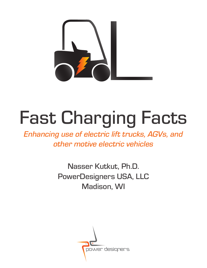

# Fast Charging Facts

*Enhancing use of electric lift trucks, AGVs, and other motive electric vehicles*

> Nasser Kutkut, Ph.D. PowerDesigners USA, LLC Madison, WI

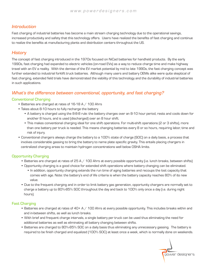# *Introduction*

Fast charging of industrial batteries has become a main stream charging technology due to the operational savings, increased productivity and safety that this technology offers. Users have realized the benefits of fast charging and continue to realize the benefits at manufacturing plants and distribution centers throughout the US.

# *History*

The concept of fast charging introduced in the 1970s focused on NiCad batteries for handheld products. By the early 1990s, fast charging had expanded to electric vehicles (on-road EVs) as a way to reduce charge time and make highway travel with an EV a reality. With the demise of the EV market potential by mid to late 1990s, the fast charging concept was further extended to industrial forklift truck batteries. Although many users and battery OEMs alike were quite skeptical of fast charging, extended field trials have demonstrated the viability of this technology and the durability of industrial batteries in such applications.

# What's the difference between conventional, opportunity, and fast charging?

# Conventional Charging

- Batteries are charged at rates of 16-18 A / 100 Ahrs
- Takes about 8-10 hours to fully recharge the battery
	- A battery is charged using the 8-8-8 rule: the battery charges over an 8-10 hour period, rests and cools down for another 8 hours, and is used (discharged) over an 8 hour shift.
	- This makes conventional charging ideal for one shift operations. For multi-shift operations (2 or 3 shifts), more than one battery per truck is needed. This means changing batteries every 8 or so hours, requiring labor, time and risk of injury.
- Conventional chargers always charge the battery to a 100% state of charge (SOC) on a daily basis, a process that involves considerable gassing to bring the battery to name plate specific gravity. This entails placing chargers in centralized charging areas to maintain hydrogen concentrations well below OSHA limits.

# Opportunity Charging

- Batteries are charged at rates of  $25 A / 100$  Ahrs at every possible opportunity (i.e. lunch breaks, between shifts)
- Opportunity charging is a good choice for extended shift operations where battery changing can be eliminated.
	- In addition, opportunity charging extends the run time of aging batteries and recoups the lost capacity that comes with age. Note: the battery's end of life criteria is when the battery capacity reaches 80% of its new value.
- Due to the frequent charging and in order to limit battery gas generation, opportunity chargers are normally set to charge a battery up to 80%-85% SOC throughout the day and back to 100% only once a day (i.e. during night hours).

# Fast Charging

- Batteries are charged at rates of 40+ A / 100 Ahrs at every possible opportunity. This includes breaks within and and in-between shifts, as well as lunch breaks.
- With brief and frequent charge intervals, a single battery per truck can be used thus eliminating the need for additional batteries as well as eliminating all battery changing between shifts.
- Batteries are charged to 80%-85% SOC on a daily basis thus eliminating any unnecessary gassing. The battery is required to be finish charged and equalized (100% SOC) at least once a week, which is normally done on weekends.

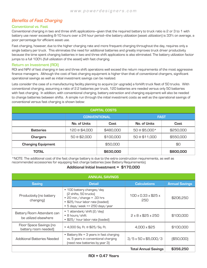# Benefits of Fast Charging

## Conventional vs. Fast

Conventional charging in two and three shift applications—given that the required battery to truck ratio is 2 or 3 to 1 with battery use never exceeding 8-10 hours over a 24 hour period—the battery utilization (asset utilization) is 33% on average, a poor percentage for efficient asset use.

Fast charging, however, due to the higher charging rate and more frequent charging throughout the day, requires only a single battery per truck. This eliminates the need for additional batteries and greatly improves truck driver productivity because the time spent changing batteries in two and three shift applications is also eliminated. The battery utilization factor jumps to a full 100% (full utilization of the asset) with fast charging.

## Return on Investment (ROI)

ROI and NPV of fast charging in two and three shift operations well exceed the return requirements of the most aggressive finance managers. Although the cost of fast charging equipment is higher than that of conventional chargers, significant operational savings as well as initial investment savings can be realized.

Lets consider the case of a manufacturing facility planning to acquire (or upgrade) a forklift truck fleet of 50 trucks. With conventional charging, assuming a ratio of 2.2 batteries per truck, 120 batteries are needed versus only 50 batteries with fast charging. In addition, with conventional charging, battery extraction and changing equipment will also be needed to change batteries between shifts. A simple run through the initial investment costs as well as the operational savings of conventional versus fast charging is shown below:

| <b>CAPITAL COSTS</b>      |                     |           |               |           |  |  |
|---------------------------|---------------------|-----------|---------------|-----------|--|--|
|                           | <b>CONVENTIONAL</b> |           | <b>FAST</b>   |           |  |  |
|                           | No. of Units        | Cost      | No. of Units  | Cost      |  |  |
| <b>Batteries</b>          | 120 @ \$4,000       | \$480,000 | 50 @ \$5,000* | \$250,000 |  |  |
| <b>Chargers</b>           | 50 @ \$2,000        | \$100,000 | 50 @ \$11,000 | \$550,000 |  |  |
| <b>Changing Equipment</b> |                     | \$50,000  |               | \$0       |  |  |
| <b>TOTAL</b>              |                     | \$630,000 |               | \$800,000 |  |  |

\*NOTE: The additional cost of the fast charge battery is due to the extra construction requirements, as well as recommended accessories for equipping fast charge batteries (see Battery Requirements).

# Additional Initial Investment = \$170,000

| <b>ANNUAL SAVINGS</b>                               |                                                                                                                                                                   |                                    |                       |  |  |
|-----------------------------------------------------|-------------------------------------------------------------------------------------------------------------------------------------------------------------------|------------------------------------|-----------------------|--|--|
| <b>Saving</b>                                       | <b>Detail</b>                                                                                                                                                     | <b>Calculations</b>                | <b>Annual Savings</b> |  |  |
| Productivity (no battery<br>changing)               | • 100 battery changes/day<br>(2 shifts, 50 trucks)<br>$\cdot$ 20 min./change = .33 hrs<br>• \$25/hour labor rate (loaded)<br>$\cdot$ 5 days/week => 250 days/year | 100 x 0.33 x \$25 x<br>250         | \$206,250             |  |  |
| Battery Room Attendant can<br>be utilized elsewhere | • 1 attendant/shift [2/day]<br>• 8 hours/shift<br>• \$25/ hour labor rate (loaded)                                                                                | $2 \times 8 \times $25 \times 250$ | \$100,000             |  |  |
| Floor Space Savings (no<br>battery room needed)     | • 4,000 Sq. Ft. @ \$25/Sq. Ft.                                                                                                                                    | 4,000 x \$25                       | \$100,000             |  |  |
| Additional Batteries Needed                         | • Battery life = 3 years in fast charging<br>vs. 5 years in conventional charging<br>(need new batteries by year 3)                                               |                                    | ( \$50,000]           |  |  |
|                                                     |                                                                                                                                                                   | <b>Total Annual Savings</b>        | \$356,250             |  |  |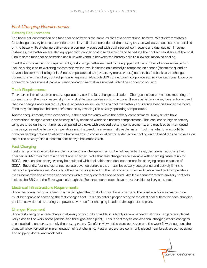# Fast Charging Requirements

## Battery Requirements

The basic cell construction of a fast charge battery is the same as that of a conventional battery. What differentiates a fast charge battery from a conventional one is the final construction of the battery tray, as well as the accessories installed on the battery. Fast charge batteries are commonly equipped with dual intercell connectors and dual cables. In some instances, the batteries are also equipped with copper post inserts which tend to reduce the contact resistance of the post. Finally, some fast charge batteries are built with vents in between the battery cells to allow for improved cooling.

In addition to construction requirements, fast charge batteries need to be equipped with a number of accessories, which include a single point watering system with water level indicator, an electrolyte temperature sensor (thermistor), and an optional battery monitoring unit. Since temperature data (or battery monitor data) need to be fed back to the charger, connectors with auxiliary contact pins are required. Although SBX connectors incorporate auxiliary contact pins, Euro type connectors have more durable auxiliary contact pins that are molded within the connector housing.

#### Truck Requirements

There are minimal requirements to operate a truck in a fast charge application. Changes include permanent mounting of connectors on the truck, especially if using dual battery cables and connectors. If a single battery cable/connector is used, then no changes are required. Optional accessories include fans to cool the battery and reduce heat rise under the hood. Fans may also improve battery performance by lowering the battery operating temperature.

Another requirement, often overlooked, is the need for vents within the battery compartment. Many trucks have conventional designs where the battery is fully enclosed within the battery compartment. This can lead to higher battery temperatures during run time, as compared to trucks with exposed battery compartments, and may lead to interrupted charge cycles as the battery temperature might exceed the maximum allowable limits. Truck manufacturers ought to consider venting options to allow the batteries to run cooler or allow for added active cooling via on board fans to move air on top of the battery for a successful fast charge implementation.

#### Fast Charging

Fast chargers are quite different than conventional chargers in a number of respects. First, the power rating of a fast charger is 3-4 times that of a conventional charger. Note that fast chargers are available with charging rates of up to 600A. As such, fast chargers may be equipped with dual cables and dual connectors for charging rates in excess of 300A. Secondly, fast chargers incorporate advance controls that maximize battery acceptance and actively limit the battery temperature rise. As such, a thermistor is required on the battery side. In order to allow feedback temperature measurement to the charger, connectors with auxiliary contacts are needed. Available connectors with auxiliary contacts include the SBX and the Euro types, although the Euro type connectors have more durable auxiliary contacts.

#### Electrical Infrastructure Requirements

Since the power rating of a fast charger is higher than that of conventional chargers, the plant electrical infrastructure must be capable of powering the fast charger fleet. This also entails proper sizing of the electrical outlets for each charging position as well as distributing the power to various fast charging locations throughout the plant.

## **Charger Placement**

Since fast charging entails charging at every opportunity possible, it is highly recommended that the chargers are placed very close to the work areas (distributed throughout the plant). This is contrary to conventional charging where chargers are installed in one area, namely the battery room. Careful review of the plant operation and the work flow throughout the plant will allow for better implementation of fast charging. Fast chargers are commonly placed near break areas, receiving and shipping docks, and work cells.

power designers<br>Prower designers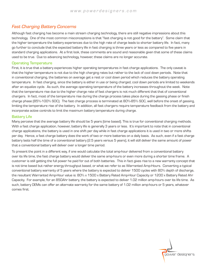# Fast Charging Battery Concerns

Although fast charging has become a main stream charging technology, there are still negative impressions about this technology. One of the most common misconceptions is that "fast charging is not good for the battery". Some claim that the higher temperature the battery experiences due to the high rate of charge leads to shorter battery life. In fact, many go further to conclude that the expected battery life in fast charging is three years or less as compared to five years in standard charging applications. At a first look, these comments are sound and reasonable given that some of these claims used to be true. Due to advancing technology, however, these claims are no longer accurate.

## Operating Temperature

First, it is true that a battery experiences higher operating temperatures in fast charge applications. The only caveat is that the higher temperature is not due to the high charging rates but rather to the lack of cool down periods. Note that in conventional charging, the batteries on average get a rest or cool down period which reduces the battery operating temperature. In fast charging, since the battery is either in use or being charged, cool down periods are limited to weekends after an equalize cycle. As such, the average operating temperature of the battery increases throughout the week. Note that the temperature rise due to the higher charge rate of fast chargers is not much different that that of conventional chargers. In fact, most of the temperature rise during the charge process takes place during the gassing phase or finish charge phase (85%-100% SOC). The fast charge process is terminated at 80%-85% SOC, well before the onset of gassing, limiting the temperature rise of the battery. In addition, all fast chargers require temperature feedback from the battery and incorporate active controls to limit the maximum battery temperature during charge.

## Battery Life

Many perceive that the average battery life should be 5 years (time based). This is true for conventional charging methods. With a fast charge application, however, battery life is generally 3 years or less. It's important to note that in conventional charge applications, the battery is used in one shift per day while in fast charge applications it is used in two or more shifts per day. Hence, a fast charge battery does the work of two or more batteries on a daily basis. As such, even if a fast charge battery lasts half the time of a conventional battery (2.5 years versus 5 years), it will still deliver the same amount of power that a conventional battery will deliver over a longer time period.

To present the point in a different way, if one would calculate the total amp-hour delivered from a conventional battery over its life time, the fast charge battery would deliver the same amp-hours or even more during a shorter time frame. A customer is still getting the full power he paid for out of both batteries. This in fact gives rise to a new warranty concept that is not time based but rather energy throughput based, or what we refer to as Warranted Amp-Hours. Converting a typical conventional battery warranty of 5 years where the battery is expected to deliver 1500 cycles with 80% depth of discharge, the resultant Warranted Amp-Hour value is: 80% x 1500 x Battery Rated Amp-Hour Capacity or 1200 x Battery Rated Ahr Capacity. For example, for an 850Ahr battery, the battery is expected to deliver 1.02 million amp-hours over its life time. As such, battery OEMs can offer an alternate warranty for the same battery of 1.02 million amp-hours or 5 years, whatever comes first.

power designers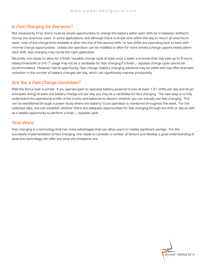# Is Fast Charging for Everyone?

Not necessarily. First, there must be ample opportunities to charge the battery within each shift (or in between shifts) to recoup the amp-hour used. In some applications, and although there is ample time within the day to return all amp-hours used, most of the charge time available is after the end of the second shift, i.e. two shifts are operating back to back with minimal charge opportunities. Unless the operation can be modified to allow for more breaks (charge opportunities) within each shift, fast charging may not be the right application.

Secondly, one needs to allow for a finish/equalize charge cycle at least once a week, a process that may take up to 8 hours. Heavy three-shift or  $24/7$  usage may not be a candidate for fast charging if a finish  $/$  equalize charge cycle cannot be accommodated. However, hybrid opportunity/fast charge/battery changing solutions may be viable and may offer dramatic reduction in the number of battery changes per day, which can significantly improve productivity.

# Are You a Fast Charge Candidate?

Well the litmus test is simple. If you operate (plan to operate) battery powered trucks at least 1.5+ shifts per day and do (or anticipate doing) at least one battery change out per day, you may be a candidate for fast charging. The next step is to fully understand the operational profile of the trucks and batteries to discern whether you can actually use fast charging. This can be established through a power study where the battery/truck operation is monitored throughout the week. For the collected data, one can establish whether there are adequate opportunities for fast charging through the shift or day as well as a weekly opportunity to perform a finish / equalize cycle.

# Final Word

Fast charging is a technology that has many advantages that can allow users to realize significant savings. For the successful implementation of fast charging, one needs to consider a number of factors and develop a good understanding of what this technology can offer and what the limitations are.

power designers